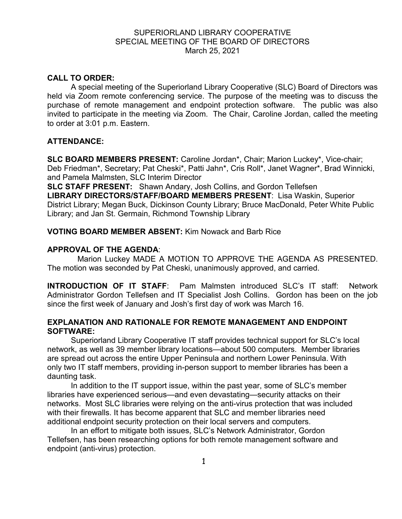# SUPERIORLAND LIBRARY COOPERATIVE SPECIAL MEETING OF THE BOARD OF DIRECTORS March 25, 2021

## **CALL TO ORDER:**

A special meeting of the Superiorland Library Cooperative (SLC) Board of Directors was held via Zoom remote conferencing service. The purpose of the meeting was to discuss the purchase of remote management and endpoint protection software. The public was also invited to participate in the meeting via Zoom. The Chair, Caroline Jordan, called the meeting to order at 3:01 p.m. Eastern.

## **ATTENDANCE:**

**SLC BOARD MEMBERS PRESENT:** Caroline Jordan\*, Chair; Marion Luckey\*, Vice-chair; Deb Friedman\*, Secretary; Pat Cheski\*, Patti Jahn\*, Cris Roll\*, Janet Wagner\*, Brad Winnicki, and Pamela Malmsten, SLC Interim Director

**SLC STAFF PRESENT:** Shawn Andary, Josh Collins, and Gordon Tellefsen **LIBRARY DIRECTORS/STAFF/BOARD MEMBERS PRESENT**: Lisa Waskin, Superior District Library; Megan Buck, Dickinson County Library; Bruce MacDonald, Peter White Public Library; and Jan St. Germain, Richmond Township Library

## **VOTING BOARD MEMBER ABSENT:** Kim Nowack and Barb Rice

## **APPROVAL OF THE AGENDA**:

Marion Luckey MADE A MOTION TO APPROVE THE AGENDA AS PRESENTED. The motion was seconded by Pat Cheski, unanimously approved, and carried.

**INTRODUCTION OF IT STAFF**: Pam Malmsten introduced SLC's IT staff: Network Administrator Gordon Tellefsen and IT Specialist Josh Collins. Gordon has been on the job since the first week of January and Josh's first day of work was March 16.

## **EXPLANATION AND RATIONALE FOR REMOTE MANAGEMENT AND ENDPOINT SOFTWARE:**

Superiorland Library Cooperative IT staff provides technical support for SLC's local network, as well as 39 member library locations—about 500 computers. Member libraries are spread out across the entire Upper Peninsula and northern Lower Peninsula. With only two IT staff members, providing in-person support to member libraries has been a daunting task.

In addition to the IT support issue, within the past year, some of SLC's member libraries have experienced serious—and even devastating—security attacks on their networks. Most SLC libraries were relying on the anti-virus protection that was included with their firewalls. It has become apparent that SLC and member libraries need additional endpoint security protection on their local servers and computers.

In an effort to mitigate both issues, SLC's Network Administrator, Gordon Tellefsen, has been researching options for both remote management software and endpoint (anti-virus) protection.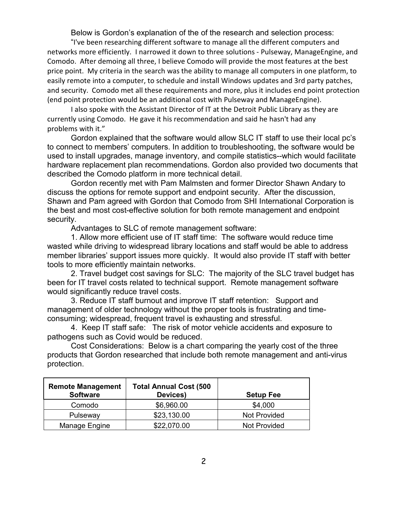Below is Gordon's explanation of the of the research and selection process:

"I've been researching different software to manage all the different computers and networks more efficiently. I narrowed it down to three solutions - Pulseway, ManageEngine, and Comodo. After demoing all three, I believe Comodo will provide the most features at the best price point. My criteria in the search was the ability to manage all computers in one platform, to easily remote into a computer, to schedule and install Windows updates and 3rd party patches, and security. Comodo met all these requirements and more, plus it includes end point protection (end point protection would be an additional cost with Pulseway and ManageEngine).

I also spoke with the Assistant Director of IT at the Detroit Public Library as they are currently using Comodo. He gave it his recommendation and said he hasn't had any problems with it."

Gordon explained that the software would allow SLC IT staff to use their local pc's to connect to members' computers. In addition to troubleshooting, the software would be used to install upgrades, manage inventory, and compile statistics--which would facilitate hardware replacement plan recommendations. Gordon also provided two documents that described the Comodo platform in more technical detail.

Gordon recently met with Pam Malmsten and former Director Shawn Andary to discuss the options for remote support and endpoint security. After the discussion, Shawn and Pam agreed with Gordon that Comodo from SHI International Corporation is the best and most cost-effective solution for both remote management and endpoint security.

Advantages to SLC of remote management software:

1. Allow more efficient use of IT staff time: The software would reduce time wasted while driving to widespread library locations and staff would be able to address member libraries' support issues more quickly. It would also provide IT staff with better tools to more efficiently maintain networks.

2. Travel budget cost savings for SLC: The majority of the SLC travel budget has been for IT travel costs related to technical support. Remote management software would significantly reduce travel costs.

3. Reduce IT staff burnout and improve IT staff retention: Support and management of older technology without the proper tools is frustrating and timeconsuming; widespread, frequent travel is exhausting and stressful.

4. Keep IT staff safe: The risk of motor vehicle accidents and exposure to pathogens such as Covid would be reduced.

Cost Considerations: Below is a chart comparing the yearly cost of the three products that Gordon researched that include both remote management and anti-virus protection.

| <b>Remote Management</b><br><b>Software</b> | <b>Total Annual Cost (500</b><br>Devices) | <b>Setup Fee</b>    |
|---------------------------------------------|-------------------------------------------|---------------------|
| Comodo                                      | \$6,960.00                                | \$4,000             |
| Pulseway                                    | \$23,130.00                               | <b>Not Provided</b> |
| Manage Engine                               | \$22,070.00                               | <b>Not Provided</b> |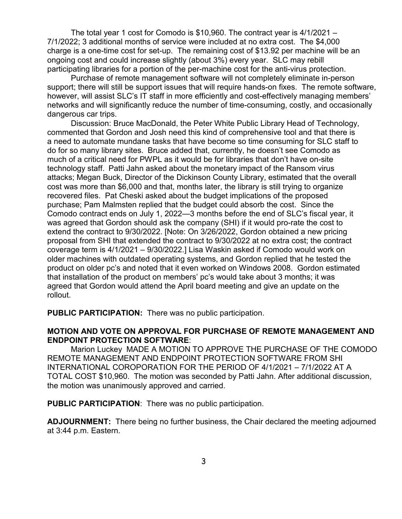The total year 1 cost for Comodo is \$10,960. The contract year is 4/1/2021 – 7/1/2022; 3 additional months of service were included at no extra cost. The \$4,000 charge is a one-time cost for set-up. The remaining cost of \$13.92 per machine will be an ongoing cost and could increase slightly (about 3%) every year. SLC may rebill participating libraries for a portion of the per-machine cost for the anti-virus protection.

Purchase of remote management software will not completely eliminate in-person support; there will still be support issues that will require hands-on fixes. The remote software, however, will assist SLC's IT staff in more efficiently and cost-effectively managing members' networks and will significantly reduce the number of time-consuming, costly, and occasionally dangerous car trips.

Discussion: Bruce MacDonald, the Peter White Public Library Head of Technology, commented that Gordon and Josh need this kind of comprehensive tool and that there is a need to automate mundane tasks that have become so time consuming for SLC staff to do for so many library sites. Bruce added that, currently, he doesn't see Comodo as much of a critical need for PWPL as it would be for libraries that don't have on-site technology staff. Patti Jahn asked about the monetary impact of the Ransom virus attacks; Megan Buck, Director of the Dickinson County Library, estimated that the overall cost was more than \$6,000 and that, months later, the library is still trying to organize recovered files. Pat Cheski asked about the budget implications of the proposed purchase; Pam Malmsten replied that the budget could absorb the cost. Since the Comodo contract ends on July 1, 2022—3 months before the end of SLC's fiscal year, it was agreed that Gordon should ask the company (SHI) if it would pro-rate the cost to extend the contract to 9/30/2022. [Note: On 3/26/2022, Gordon obtained a new pricing proposal from SHI that extended the contract to 9/30/2022 at no extra cost; the contract coverage term is 4/1/2021 – 9/30/2022.] Lisa Waskin asked if Comodo would work on older machines with outdated operating systems, and Gordon replied that he tested the product on older pc's and noted that it even worked on Windows 2008. Gordon estimated that installation of the product on members' pc's would take about 3 months; it was agreed that Gordon would attend the April board meeting and give an update on the rollout.

**PUBLIC PARTICIPATION:** There was no public participation.

## **MOTION AND VOTE ON APPROVAL FOR PURCHASE OF REMOTE MANAGEMENT AND ENDPOINT PROTECTION SOFTWARE**:

Marion Luckey MADE A MOTION TO APPROVE THE PURCHASE OF THE COMODO REMOTE MANAGEMENT AND ENDPOINT PROTECTION SOFTWARE FROM SHI INTERNATIONAL COROPORATION FOR THE PERIOD OF 4/1/2021 – 7/1/2022 AT A TOTAL COST \$10,960. The motion was seconded by Patti Jahn. After additional discussion, the motion was unanimously approved and carried.

**PUBLIC PARTICIPATION**: There was no public participation.

**ADJOURNMENT:** There being no further business, the Chair declared the meeting adjourned at 3:44 p.m. Eastern.